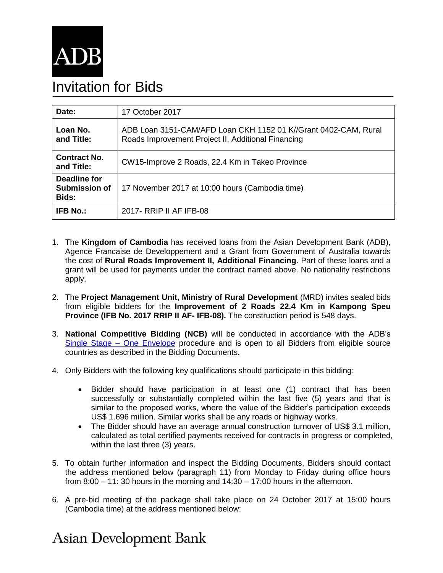

## Invitation for Bids

| Date:                                         | 17 October 2017                                                                                                       |
|-----------------------------------------------|-----------------------------------------------------------------------------------------------------------------------|
| Loan No.<br>and Title:                        | ADB Loan 3151-CAM/AFD Loan CKH 1152 01 K//Grant 0402-CAM, Rural<br>Roads Improvement Project II, Additional Financing |
| <b>Contract No.</b><br>and Title:             | CW15-Improve 2 Roads, 22.4 Km in Takeo Province                                                                       |
| Deadline for<br><b>Submission of</b><br>Bids: | 17 November 2017 at 10:00 hours (Cambodia time)                                                                       |
| <b>IFB No.:</b>                               | 2017- RRIP II AF IFB-08                                                                                               |

- 1. The **Kingdom of Cambodia** has received loans from the Asian Development Bank (ADB), Agence Francaise de Developpement and a Grant from Government of Australia towards the cost of **Rural Roads Improvement II, Additional Financing**. Part of these loans and a grant will be used for payments under the contract named above. No nationality restrictions apply.
- 2. The **Project Management Unit, Ministry of Rural Development** (MRD) invites sealed bids from eligible bidders for the **Improvement of 2 Roads 22.4 Km in Kampong Speu Province (IFB No. 2017 RRIP II AF- IFB-08).** The construction period is 548 days.
- 3. **National Competitive Bidding (NCB)** will be conducted in accordance with the ADB's [Single Stage –](https://www.adb.org/site/business-opportunities/operational-procurement/goods-services/bidding-procedures) One Envelope procedure and is open to all Bidders from eligible source countries as described in the Bidding Documents.
- 4. Only Bidders with the following key qualifications should participate in this bidding:
	- Bidder should have participation in at least one (1) contract that has been successfully or substantially completed within the last five (5) years and that is similar to the proposed works, where the value of the Bidder's participation exceeds US\$ 1.696 million. Similar works shall be any roads or highway works.
	- The Bidder should have an average annual construction turnover of US\$ 3.1 million, calculated as total certified payments received for contracts in progress or completed, within the last three (3) years.
- 5. To obtain further information and inspect the Bidding Documents, Bidders should contact the address mentioned below (paragraph 11) from Monday to Friday during office hours from 8:00 – 11: 30 hours in the morning and 14:30 – 17:00 hours in the afternoon.
- 6. A pre-bid meeting of the package shall take place on 24 October 2017 at 15:00 hours (Cambodia time) at the address mentioned below:

## **Asian Development Bank**